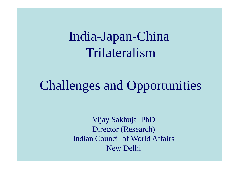India-Japan-China Trilateralism

# Challenges and Opportunities

Vijay Sakhuja, PhD Director (Research) Indian Council of World AffairsNew Delhi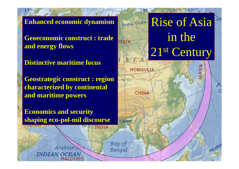**Enhanced economic dynamism**

**Geoeconomic construct : trade and energy flows**

**Distinctive maritime focus**

**Geostrategic construct : region characterized by continental and maritime powers**

**Economics and security shaping eco-pol-mil discourse**

Arabian

INDIAN OCEAN

Arease of Asia in the 2<sup>1st</sup> Century

IA PAN

**Leguator** 

1502

MONGOLIA

CHINA

**HSSTA** 

dahter

Bay of

Bengal

INDIA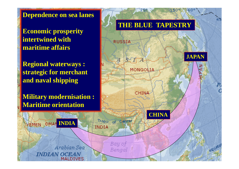**Dependence on sea lanes**

**Economic prosperity intertwined with maritime affairs** 

**Regional waterways : strategic for merchant and naval shipping**

**Military modernisation : Maritime orientation**



150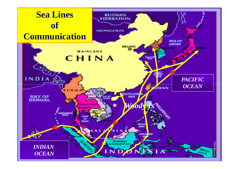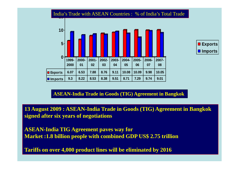#### India's Trade with ASEAN Countries : % of India's Total Trade





#### **ASEAN-India Trade in Goods (TIG) Agreement in Bangkok**

**13 August 2009 : ASEAN-India Trade in Goods (TIG) Agreement in Bangkok signed after six years of negotiations**

**ASEAN-India TIG Agreement paves way forMarket :1.8 billion people with combined GDP US\$ 2.75 trillion**

**Tariffs on over 4,000 product lines will be eliminated by 2016**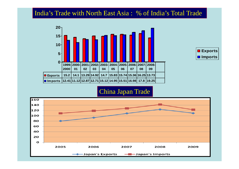## India's Trade with North East Asia : % of India's Total Trade





### China Japan Trade

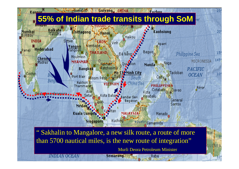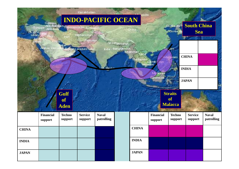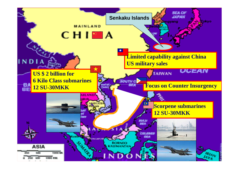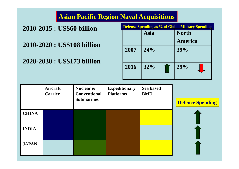# **Asian Pacific Region Naval Acquisitions**

## **2010-2015 : US\$60 billion**

**2010-2020 : US\$108 billion**

**2020-2030 : US\$173 billion**

| Defense Spending as % of Global Military Spending |           |                |  |  |
|---------------------------------------------------|-----------|----------------|--|--|
|                                                   | Asia      | <b>North</b>   |  |  |
|                                                   |           | <b>America</b> |  |  |
| 2007                                              | 24%       | 39%            |  |  |
| 2016                                              | 32%<br>10 | 29%            |  |  |

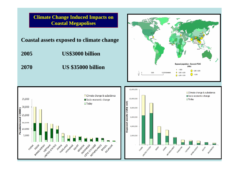**Climate Change Induced Impacts on Coastal Megapolises**

**Coastal assets exposed to climate change**

- **2005 US\$3000 billion**
- **2070 US \$35000 billion**





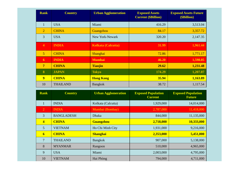| <b>Rank</b>             | <b>Country</b>    | <b>Urban Agglomeration</b> | <b>Exposed Assets</b><br><b>Current (\$Billion)</b> | <b>Exposed Assets Future</b><br>(\$Billion) |
|-------------------------|-------------------|----------------------------|-----------------------------------------------------|---------------------------------------------|
| $\mathbf{1}$            | <b>USA</b>        | Miami                      | 416.29                                              | 3,513.04                                    |
| $\overline{2}$          | <b>CHINA</b>      | Guangzhou                  | 84.17                                               | 3,357.72                                    |
| 3                       | <b>USA</b>        | New York-Newark            | 320.20                                              | 2,147.35                                    |
| $\overline{4}$          | <b>INDIA</b>      | Kolkata (Calcutta)         | 31.99                                               | 1,961.44                                    |
| $\overline{5}$          | <b>CHINA</b>      | Shanghai                   | 72.86                                               | 1,771.17                                    |
| 6                       | <b>INDIA</b>      | <b>Mumbai</b>              | 46.20                                               | 1,598.05                                    |
| $\overline{7}$          | <b>CHINA</b>      | <b>Tianjin</b>             | 29.62                                               | 1,231.48                                    |
| 8                       | <b>JAPAN</b>      | <b>Tokyo</b>               | 174.29                                              | 1,207.07                                    |
| $\overline{9}$          | <b>CHINA</b>      | <b>Hong Kong</b>           | 35.94                                               | 1,163.89                                    |
| 10                      | <b>THAILAND</b>   | <b>Bangkok</b>             | 38.72                                               | 1,117.54                                    |
| <b>Rank</b>             | <b>Country</b>    | <b>Urban Agglomeration</b> | <b>Exposed Population</b><br><b>Current</b>         | <b>Exposed Population</b><br><b>Future</b>  |
| $\mathbf{1}$            | <b>INDIA</b>      | Kolkata (Calcutta)         | 1,929,000                                           | 14,014,000                                  |
| $\overline{2}$          | <b>INDIA</b>      | Mumbai (Bombay)            | 2,787,000                                           | 11,418,000                                  |
| $\overline{3}$          | <b>BANGLADESH</b> | Dhaka                      | 844,000                                             | 11,135,000                                  |
| $\overline{\mathbf{4}}$ | <b>CHINA</b>      | <b>Guangzhou</b>           | 2,718,000                                           | 10,333,000                                  |
| 5                       | <b>VIETNAM</b>    | Ho Chi Minh City           | 1,931,000                                           | 9,216,000                                   |
| $\overline{6}$          | <b>CHINA</b>      | <b>Shanghai</b>            | 2,353,000                                           | 5,451,000                                   |
| $\overline{7}$          | <b>THAILAND</b>   | <b>Bangkok</b>             | 907,000                                             | 5,138,000                                   |
| $8\,$                   | <b>MYANMAR</b>    | Rangoon                    | 510,000                                             | 4,965,000                                   |
| 9                       | <b>USA</b>        | Miami                      | 2,003,000                                           | 4,795,000                                   |
| 10                      | <b>VIETNAM</b>    | Hai Phòng                  | 794,000                                             | 4,711,000                                   |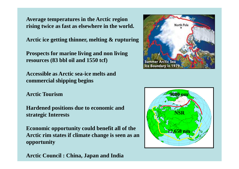**Average temperatures in the Arctic region rising twice as fast as elsewhere in the world.** 

**Arctic ice getting thinner, melting & rupturing**

**Prospects for marine living and non living resources (83 bbl oil and 1550 tcf)** 

**Accessible as Arctic sea-ice melts and commercial shipping begins**

**Arctic Tourism**

**Hardened positions due to economic and strategic Interests**

**Economic opportunity could benefit all of the Arctic rim states if climate change is seen as an opportunity**

**Arctic Council : China, Japan and India**